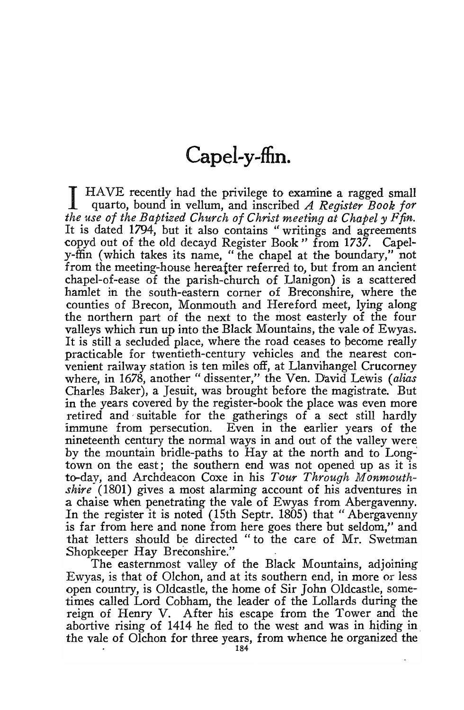## **Capel-y .. ffin.**

I HAVE recently had the privilege to examine a ragged small quarto, bound in vellum, and inscribed *A Register Book for the use of the Baptized Church of Christ meeting at Chapel y Ffin.* It is dated 1794, but it also contains "writings and agreements copyd out of the old decayd Register Book" from 1737. Capely-ffin (which takes its name, "the chapel at the boundary," not . from the meeting-house hereafter referred to, but from an ancient chapel-of-ease of the parish-church of Llanigon) is a scattered haper of ease of the parism-entired of Enamgony is a seattered attiet in the south eastern corner of Breconsinie, where the the northern part of the next to the most easterly of the four valleys which run up into the Black Mountains, the vale of Ewyas. It is still a secluded place, where the road ceases to become really practicable for twentieth-century vehicles and the nearest convenient railway station is ten miles off, at Llanvihangel Crucorney where, in 1678, another" dissenter," the Yen. David Lewis *(alias*  Charles Baker), a Jesuit, was brought before the magistrate. But in the years covered by the register-book the place was even more retired and· suitable for the gatherings of a sect still hardly immune from persecution. Even in the earlier years of the nineteenth century the normal ways in and out of the valley were by the mountain bridle~paths to Hay at the north and to Long-' town on the east; the southern end was not opened up as it is to-day, and Archdeacon Coxe in his *Tour Through Monmouthshire* (1801) gives a most alarming account of his adventures in a chaise when penetrating the vale of Ewyas from Abergavenny. In the register it is noted (15th Septr. 1805) that "Abergavenny is far from here and none from here goes there but seldom," and that letters should be directed "to the care of Mr. Swetman Shopkeeper Hay Breconshire."

The easternmost valley of the Black Mountains, adjoining Ewyas, is that of Olchon, and at its southern end, in more or less open country, is Oldcastle, the home of Sir John Oldcastle, sometimes called Lord Cobham, the leader of the Lollards during the reign of Henry V. After his escape from the Tower and the abortive rising of 1414 he fled to the west and was in hiding in, the vale of Olchon for three years, from whence he organized the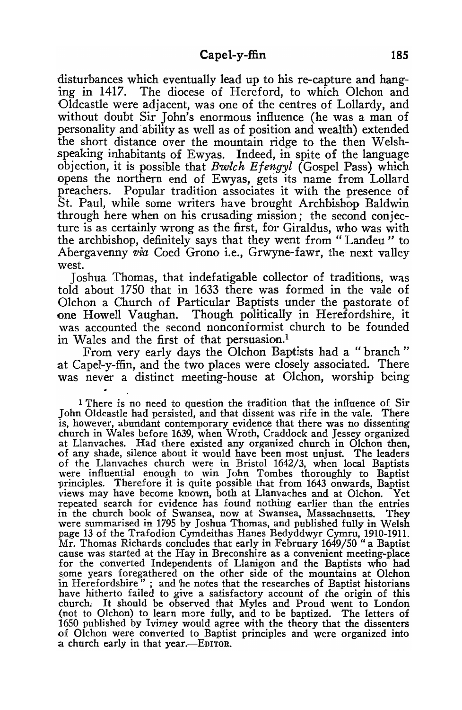disturbances which eventually lead up to his re-capture and hanging in 1417. The diocese of Hereford, to which OIchon and Oldcastle were adjacent, was one of the centres of Lollardy, and without doubt Sir John's enormous influence (he was a man of personality and ability as well as of position and wealth) extended the short distance over the mountain ridge to the then Welshspeaking inhabitants of Ewyas. Indeed, in spite of the language objection, it is possible that *Bwlch Efengyl* (Gospel Pass) which opens the northern end of Ewyas, gets its name from Lollard preachers. Popular tradition associates it with the presence of St. Paul, while some writers have brought Archbishop Baldwin through here when on his crusading mission; the second conjecture is as certainly wrong as the first, for Giraldus, who was with the archbishop, definitely says that they went from "Landeu " to Abergavenny *vva* Coed Grono i.e., Grwyne-fawr, the next valley west.

Joshua Thomas, that indefatigable collector of traditions, was told about 1750 that in 1633 there was formed in the vale of Olchon a Church of Particular Baptists under the pastorate of one Howell Vaughan. Though politically in Herefordshire, it was accounted the second nonconformist church to be founded in Wales and the first of that persuasion.<sup>1</sup>

From very early days the Olchon Baptists had a "branch" at Capel-y-ffin, and the two places were closely associated. There was never a distinct meeting-house at Olchon, worship being

<sup>1</sup>There is no need to question the tradition that the influence of Sir John Oldcastle had persisted, and that dissent was rife in the vale. There is, however, abundant contemporary evidence that there was no dissenting church in Wales before 1639, when Wroth, Craddock and Jessey organized at Llanvaches. Had there existed any organized church in Olchon then, of any shade, silence about it would have been most unjust. The leaders of the Llanvaches church were in Bristol 1642/3, when local Baptists were influential enough to win John Tombes thoroughly to Baptist principles. Therefore it is quite possible that from 1643 onwards, Baptist views may have become known, both at Llanvaches and at Olchon. Yet views may have become known, both at Llanvaches and at Olchon. Tet repeated search for evidence has found nothing earlier than the entries in the church book of Swansea, now at Swansea, Massachusetts. They were summarised in 1795 by Joshua Thomas, and published fully in Welsh 'page 13 of the Trafodion Cymdeithas Hanes Bedyddwyr Cymru, 1910-1911. Mr. Thomas Richards concludes that early in February 1649/50 "a Baptist cause was started at the Hay in Breconshire as a convenient meeting-place for the converted Independents of Llanigon and the Baptists who had some years foregathered on the other side of the mountains at Olchon in Herefordshire" ; and he notes that the researches of Baptist historians have hitherto failed to give a satisfactory account of the origin of this church, It should be observed that Myles and Proud went to London (not to Olchon) to learn more fully, and to be baptized. The letters of 1650 published by Ivimey would agree with the theory that the dissenters of Olchon were converted to Baptist principles and were organized into a church early in that year.-EDIToR.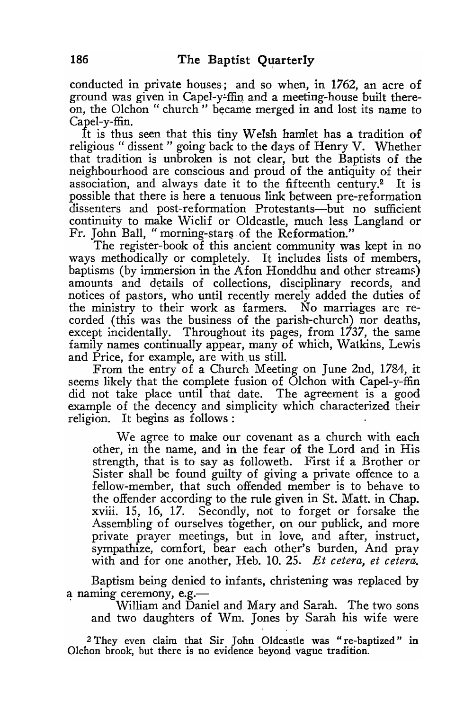conducted in private houses; and so when, in 1762, an acre of ground was given in Capel-y-ffin and a meeting-house built thereon, the Olchon " church" became merged in and lost its name to Capel-v-ffin.

It is thus seen that this tiny Welsh hamlet has a tradition of religious " dissent " going back to the days of Henry V. Whether that tradition is unbroken is not clear, but the Baptists of the neighbourhood are conscious and proud of the antiquity of their association, and always date it to the fifteenth century.2 It is possible that there is here a tenuous link between pre-reformation dissenters and post-reformation Protestants-but no sufficient continuity to make Wiclif or Oldcastle, much less Langland or Fr. John Ball, "morning-star§. of the Reformation."

The register-book of this ancient community was kept in no ways methodically or completely. It includes lists of members, baptisms (by immersion in the Afon Honddhu and other streams) amounts and details of collections, disciplinary records, and notices of pastors, who until recently merely added the duties of the ministry to their work as farmers. No marriages are recorded (this was the business of the parish-church) nor deaths, except incidentally. Throughout its pages, from 1737, the same family names continually appear, many of which, Watkins, Lewis and Price, for example, are with us still.

From the entry of a Church Meeting on June 2nd, 1784, it seems likely that the complete fusion of Olchon with Capel-y-ffin did not take place until that date. The agreement is a good example of the decency and simplicity which characterized their religion. It begins as follows: .

We agree to make our covenant as a church with each other, in the name, and in the fear of the Lord and in His strength, that is to say as followeth. First if a Brother or Sister shall be found guilty of giving a private offence to a fellow-member, that such offended member is to behave to the offender according to the rule given in St. Matt. in Chap. xviii. 15, 16, 17. Secondly, not to forget or forsake the Assembling of ourselves together, on our publick, and more private prayer meetings, but in love, and after, instruct, sympathize, comfort, bear each other's burden, And pray with and for one another, Heb. 10. 25. *Et cetera, et cetera.* 

Baptism being denied to infants, christening was replaced by a naming ceremony, e.g.-

William and Daniel and Mary and Sarah. The two sons and two daughters of Wm. Jones by Sarah his wife were

<sup>2</sup> They even claim that Sir John Oldcastle was "re-baptized" in Olchon brook, but there is no evidence beyond vague tradition.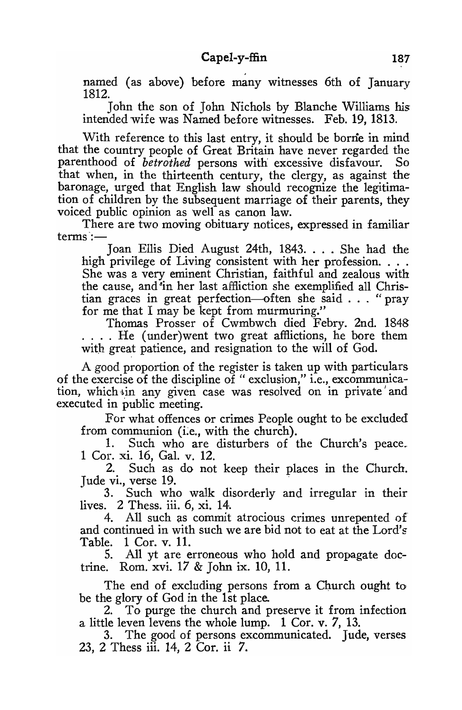named (as above) before many witnesses 6th of January 1812.

John the son of John Nichols by Blanche Williams his intended wife was Named before witnesses. Feb. 19, 1813.

With reference to this last entry, it should be borne in mind that the country people of Great Britain have never regarded the parenthood of *betrothed* persons with excessive disfavour. So that when, in the thirteenth century, the clergy, as against the baronage, urged that English law should recognize the legitimation of children by the subsequent marriage of their parents, they voiced public opinion as well as canon law.

There are two moving obituary notices, expressed in familiar terms :-

Joan Ellis Died August 24th, 1843. . . . She had the high privilege of Living consistent with her profession. . . . She was a very eminent Christian, faithful and zealous with the cause, and'in her last affliction she exemplified all Christian graces in great perfection-often she said ... "pray for me that I may be kept from murmuring."

Thomas Prosser of Cwmbwch died Febry. 2nd. 1848 .... He (under)went two great afflictions, he bore them with great patience, and resignation to the will of God.

. A good proportion of the register is taken up with particulars of the exercise of the discipline of " exclusion," i.e., excommunication, which in any given case was resolved on in private and executed in public meeting.

For what offences or crimes People ought to be excluded from communion (i.e., with the church).

1. Such who are disturbers of the Church's peace. 1 Cor. xi. 16, Gal. v. 12.

Such as do not keep their places in the Church. Jude vi., verse 19. "

3. Such who walk disorderly and irregular in their lives. 2 Thess. iii. 6, xi. 14.

4. All such as commit atrocious crimes unrepented of and continued in with such we are bid not to eat at the Lord's Table. 1 Cor. v. 11.

S. All yt are erroneous who hold and propagate doctrine. Rom. xvi. 17 & John ix. 10, 11.

The end of excluding persons from a Church ought to be the glory of God in the 1st place.

2. To purge the church and preserve it from infection a little leven levens the whole lump. 1 Cor. v. 7, 13.

3. The good of persons excommunicated. Jude, verses 23, 2 Thess iii. 14, 2 Cor. ii 7.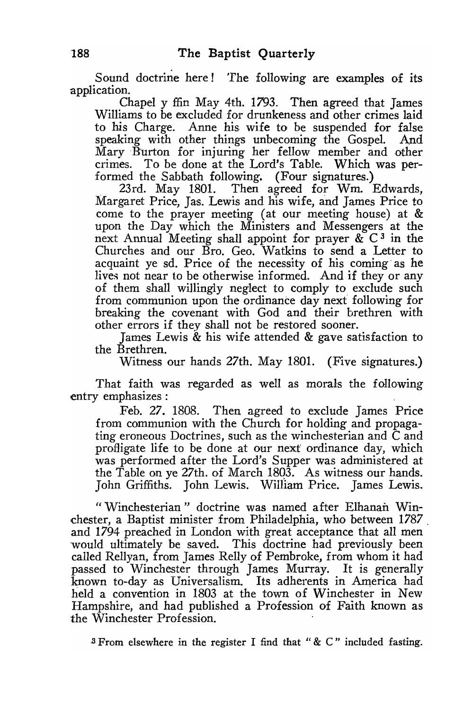SDund doctrine here! The following are examples of its Sound doctrine nere! The following are exam application.<br>Chapel y ffin May 4th. 1793. Then agreed that James

Williams to be excluded for drunkeness and other crimes laid to his Charge. Anne his wife to be suspended for false speaking with other things unbecoming the Gospel. And Mary Burton for injuring her fellow member and other crimes. To be done at the Lord's Table. Which was performed the Sabbath following. (Four signatures.)<br>23rd. May 1801. Then agreed for Wm. Edwards,

Margaret Price, Jas. Lewis and his wife, and James Price to come to the prayer meeting (at our meeting house) at  $\&$ upon the Day which the Ministers and Messengers at the next Annual Meeting shall appoint for prayer  $\& C^3$  in the Churches and Oour Bro. Geo. Watkins to send a Letter to acquaint ye sd. Price of the necessity of his coming· as he lives not near to be otherwise informed. And if they or any of them shall willingly neglect to comply to exclude such from communion upon the ordinance day next following for breaking the covenant with God and their brethren with other errors if they shall not be restored sooner.

Tames Lewis  $\&$  his wife attended  $\&$  gave satisfaction to the Brethren.

Witness our hands 27th. May 1801. (Five signatures.)

That faith was regarded as well as morals the following entry emphasizes:

Feb. 27. 1808. Then agreed to exclude James Price from communion with the Church for holding and propagating eroneous Doctrines, such as the winchesterian and C and profligate life to be done at our next ordinance day, which was performed after the Lord's Supper was administered at as performed after the Lord's Supper was administered at<br>19 Table on ye 27th. of March 1803. As witness our hands. John Griffiths. John Lewis. WiIliam Price. James Lewis.

" Winchesterian" doctrine was named after Elhanan Winchester, a Baptist minister from Philadelphia, who between 1787 . and 1794 preached in London with great acceptance that all men would ultimately be saved. This doctrine had previously been called Rellyan, from James Relly of Pembroke, from whom it had passed to Winchester through James Murray. It is generally known to-day as Universalism. Its adherents in America had held a convention in 1803 at the town of Winchester in New Hampshire, and had published a Profession of Faith known as tampsime, and nad publism

 $3$  From elsewhere in the register I find that "  $\&$  C" included fasting.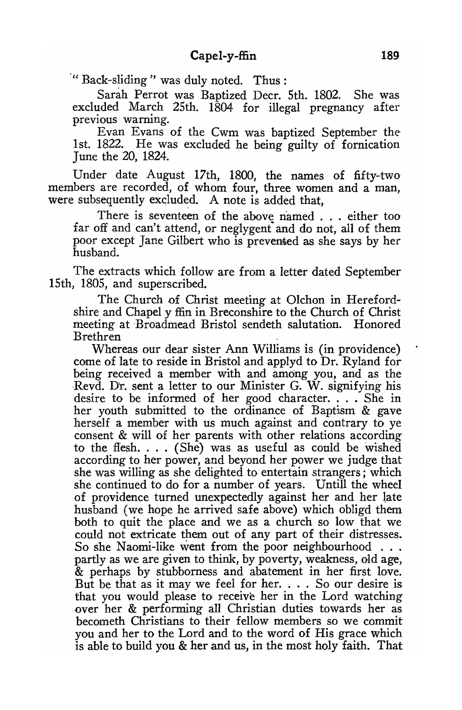" Back-sliding " was duly noted. Thus:

Sarah Perrot was Baptized Deer. 5th. 1802. She was excluded March 25th. 1804 for illegal pregnancy after previous warning.

Evan Evans of the Cwm was baptized September the 1st. 1822. He was excluded he being guilty of fornication June the 20, 1824.

Under date August 17th, 1800, the names of fifty-two members are recorded, of whom four, three women and a man, were subsequently excluded. A note is added that,

There is seventeen of the above named . . . either too far off and can't attend, or neglygent and do not, all of them poor except Jane Gilbert who is prevented as she says by her husband.

The extracts which follow are from a letter dated September 15th, 1805, and superscribed.

The Church of Christ meeting at Olchon in Herefordshire and Chapel y ffin in Breconshire to the Church of Christ meeting at Broadmead Bristol sendeth salutation. Honored Brethren

Whereas our dear sister Ann Williams is (in providence) come of late to reside in Bristol and applyd to Dr. Ryland for being received a member with and among you, and as the Revd. Dr. sent a letter to our Minister G. W. signifying his desire to be informed of her good character. . . . She in her youth submitted to the ordinance of Baptism  $\&$  gave herself a member with us much against and contrary to ye consent  $&$  will of her parents with other relations according to the flesh.  $\ldots$  (She) was as useful as could be wished according to her power, and beyond her power we judge that she was willing as she delighted to entertain strangers; which she continued to do for a number of years. Untill the wheel of providence turned unexpectedly against her and her late husband (we hope he arrived safe above) which obligd them both to quit the place and we as a church so low that we could not extricate them out of any part of their distresses.<br>So she Naomi-like went from the poor neighbourhood ...<br>partly as we are given to think, by poverty, weakness, old age, partly as we are given to think, by poverty, weakness, old age, & perhaps by stubborness and abatement in her first love. But be that as it may we feel for her. . . . So our desire is that you would please to receive her in the Lord watching .over her & performing all Christian duties towards her as becometh Christians to their fellow members so we commit you and her to the Lord and to the word of His grace which is able to build you & her and us, in the most holy faith. That